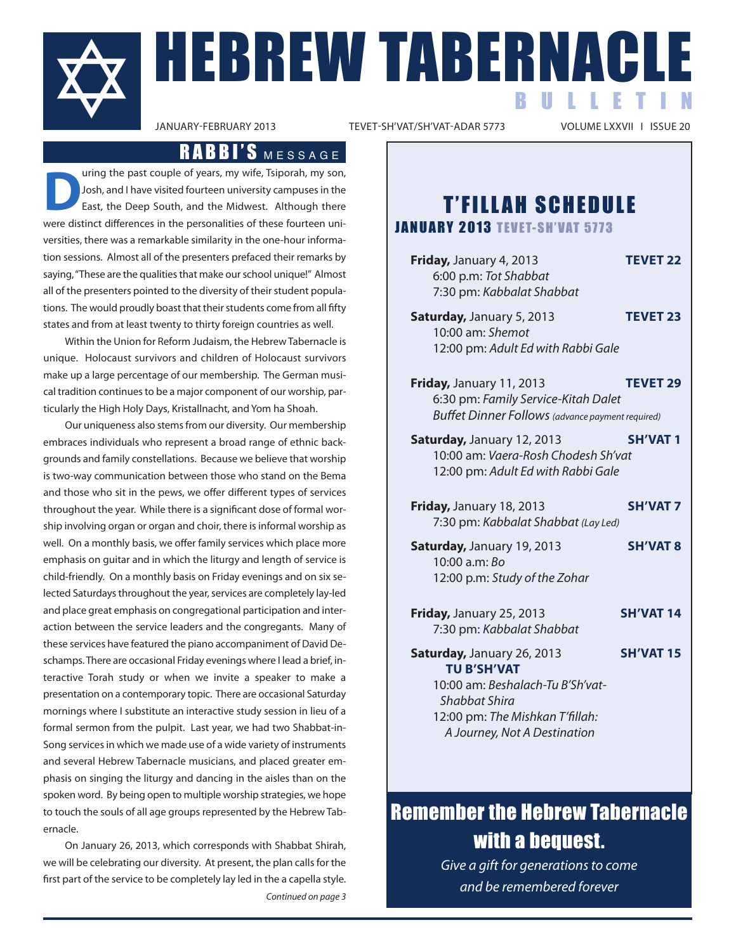

TEVET-SH'VAT/SH'VAT-ADAR 5773

## RABBI'S MESSAGE

uring the past couple of years, my wife, Tsiporah, my son, Josh, and I have visited fourteen university campuses in the East, the Deep South, and the Midwest. Although there were distinct differences in the personalities of these fourteen universities, there was a remarkable similarity in the one-hour information sessions. Almost all of the presenters prefaced their remarks by saying,"These are the qualities that make our school unique!" Almost all of the presenters pointed to the diversity of their student populations. The would proudly boast that their students come from all fifty states and from at least twenty to thirty foreign countries as well.

Within the Union for Reform Judaism, the Hebrew Tabernacle is unique. Holocaust survivors and children of Holocaust survivors make up a large percentage of our membership. The German musical tradition continues to be a major component of our worship, particularly the High Holy Days, Kristallnacht, and Yom ha Shoah.

Our uniqueness also stems from our diversity. Our membership embraces individuals who represent a broad range of ethnic backgrounds and family constellations. Because we believe that worship is two-way communication between those who stand on the Bema and those who sit in the pews, we offer different types of services throughout the year. While there is a significant dose of formal worship involving organ or organ and choir, there is informal worship as well. On a monthly basis, we offer family services which place more emphasis on guitar and in which the liturgy and length of service is child-friendly. On a monthly basis on Friday evenings and on six selected Saturdays throughout the year, services are completely lay-led and place great emphasis on congregational participation and interaction between the service leaders and the congregants. Many of these services have featured the piano accompaniment of David Deschamps. There are occasional Friday evenings where I lead a brief, interactive Torah study or when we invite a speaker to make a presentation on a contemporary topic. There are occasional Saturday mornings where I substitute an interactive study session in lieu of a formal sermon from the pulpit. Last year, we had two Shabbat-in-Song services in which we made use of a wide variety of instruments and several Hebrew Tabernacle musicians, and placed greater emphasis on singing the liturgy and dancing in the aisles than on the spoken word. By being open to multiple worship strategies, we hope to touch the souls of all age groups represented by the Hebrew Tabernacle.

On January 26, 2013, which corresponds with Shabbat Shirah, we will be celebrating our diversity. At present, the plan calls for the first part of the service to be completely lay led in the a capella style. Continued on page 3

# **T'FILLAH SCHEDULE**

**JANUARY 2013 TEVET-SH'VAT 5773** 

**Friday,** January 4, 2013 **TEVET 22** 6:00 p.m: Tot Shabbat 7:30 pm: Kabbalat Shabbat

- **Saturday,** January 5, 2013 **TEVET 23** 10:00 am: Shemot 12:00 pm: Adult Ed with Rabbi Gale
- **Friday,** January 11, 2013 **TEVET 29** 6:30 pm: Family Service-Kitah Dalet Buffet Dinner Follows (advance payment required)
- **Saturday,** January 12, 2013 **SH'VAT 1** 10:00 am: Vaera-Rosh Chodesh Sh'vat 12:00 pm: Adult Ed with Rabbi Gale
- **Friday,** January 18, 2013 **SH'VAT 7** 7:30 pm: Kabbalat Shabbat (Lay Led)
- **Saturday,** January 19, 2013 **SH'VAT 8** 10:00 a.m: Bo 12:00 p.m: Study of the Zohar
- **Friday,** January 25, 2013 **SH'VAT 14** 7:30 pm: Kabbalat Shabbat
- **Saturday,** January 26, 2013 **SH'VAT 15 TU B'SH'VAT** 10:00 am: Beshalach-Tu B'Sh'vat-

Shabbat Shira 12:00 pm: The Mishkan T'fillah: A Journey, Not A Destination

# Remember the Hebrew Tabernacle with a bequest.

Give a gift for generations to come and be remembered forever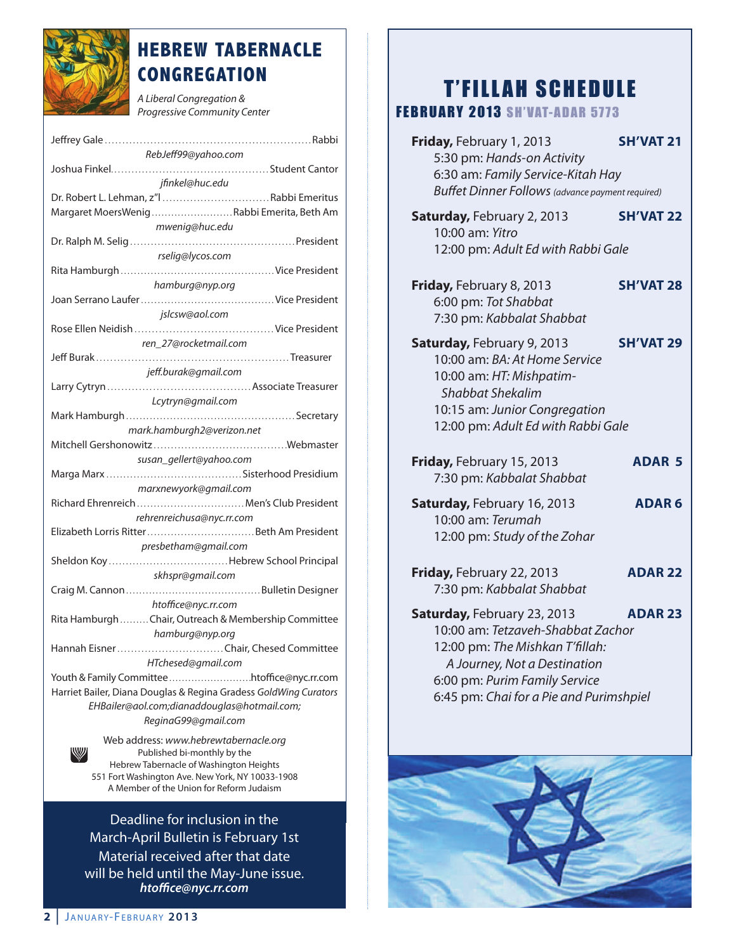

# **HEBREW TABERNACLE CONGREGATION**

A Liberal Congregation & Progressive Community Center

| RebJeff99@yahoo.com                                              |
|------------------------------------------------------------------|
|                                                                  |
| jfinkel@huc.edu                                                  |
| Dr. Robert L. Lehman, z"l Rabbi Emeritus                         |
| Margaret MoersWenigRabbi Emerita, Beth Am                        |
|                                                                  |
| mwenig@huc.edu                                                   |
|                                                                  |
| rselig@lycos.com                                                 |
|                                                                  |
| hamburg@nyp.org                                                  |
|                                                                  |
| jslcsw@aol.com                                                   |
|                                                                  |
| ren_27@rocketmail.com                                            |
|                                                                  |
| jeff.burak@gmail.com                                             |
|                                                                  |
| Lcytryn@gmail.com                                                |
|                                                                  |
|                                                                  |
| mark.hamburgh2@verizon.net                                       |
|                                                                  |
| susan_gellert@yahoo.com                                          |
|                                                                  |
| marxnewyork@gmail.com                                            |
| Richard Ehrenreich  Men's Club President                         |
| rehrenreichusa@nyc.rr.com                                        |
|                                                                  |
| presbetham@gmail.com                                             |
|                                                                  |
| skhspr@gmail.com                                                 |
|                                                                  |
|                                                                  |
|                                                                  |
| htoffice@nyc.rr.com                                              |
| Rita Hamburgh Chair, Outreach & Membership Committee             |
| hamburg@nyp.org                                                  |
| Hannah EisnerChair, Chesed Committee                             |
| HTchesed@gmail.com                                               |
| Youth & Family Committee htoffice@nyc.rr.com                     |
| Harriet Bailer, Diana Douglas & Regina Gradess GoldWing Curators |
|                                                                  |
| EHBailer@aol.com;dianaddouglas@hotmail.com;                      |
| ReginaG99@gmail.com<br>Web address: www.hebrewtabernacle.org     |

Published bi-monthly by the Hebrew Tabernacle of Washington Heights 551 Fort Washington Ave. New York, NY 10033-1908 A Member of the Union for Reform Judaism

Deadline for inclusion in the March-April Bulletin is February 1st Material received after that date will be held until the May-June issue. *hto!ce@nyc.rr.com*

# **T'FILLAH SCHEDULE**

### **FEBRUARY 2013 SH'VAT-ADAR 5773**

**Friday,** February 1, 2013 **SH'VAT 21** 5:30 pm: Hands-on Activity 6:30 am: Family Service-Kitah Hay Buffet Dinner Follows (advance payment required) **Saturday,** February 2, 2013 **SH'VAT 22** 10:00 am: Yitro 12:00 pm: Adult Ed with Rabbi Gale **Friday,** February 8, 2013 **SH'VAT 28** 6:00 pm: Tot Shabbat 7:30 pm: Kabbalat Shabbat **Saturday,** February 9, 2013 **SH'VAT 29** 10:00 am: BA: At Home Service 10:00 am: HT: Mishpatim-Shabbat Shekalim 10:15 am: Junior Congregation 12:00 pm: Adult Ed with Rabbi Gale **Friday,** February 15, 2013 **ADAR 5** 7:30 pm: Kabbalat Shabbat **Saturday,** February 16, 2013 **ADAR 6** 10:00 am: Terumah 12:00 pm: Study of the Zohar **Friday,** February 22, 2013 **ADAR 22** 7:30 pm: Kabbalat Shabbat **Saturday,** February 23, 2013 **ADAR 23** 10:00 am: Tetzaveh-Shabbat Zachor 12:00 pm: The Mishkan T'fillah: A Journey, Not a Destination 6:00 pm: Purim Family Service 6:45 pm: Chai for a Pie and Purimshpiel

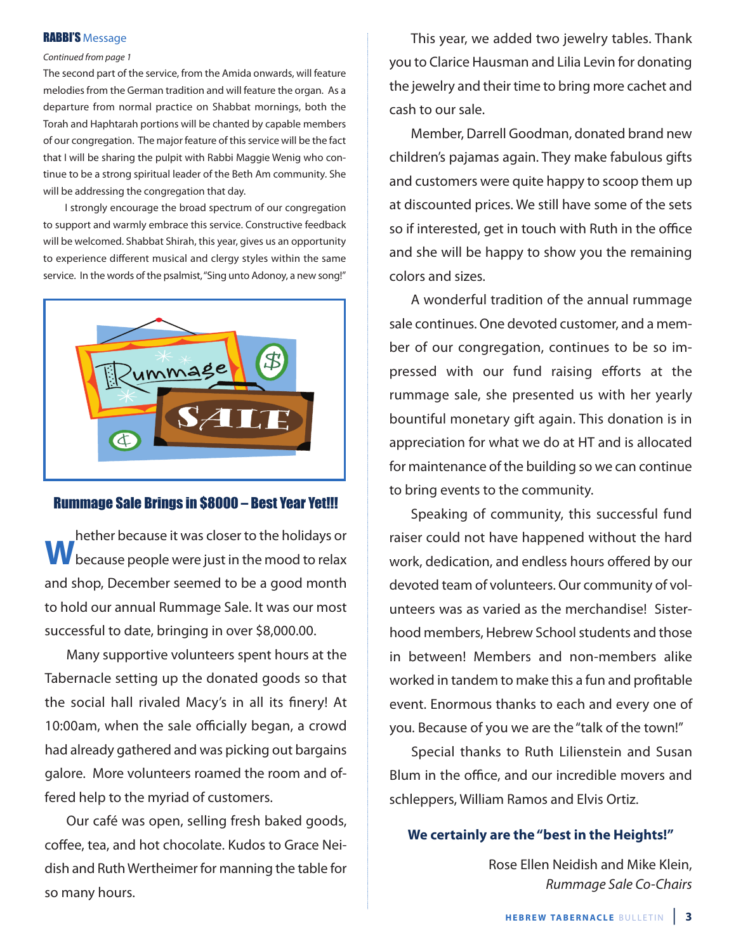### **RABBI'S Message**

### Continued from page 1

The second part of the service, from the Amida onwards, will feature melodies from the German tradition and will feature the organ. As a departure from normal practice on Shabbat mornings, both the Torah and Haphtarah portions will be chanted by capable members of our congregation. The major feature of this service will be the fact that I will be sharing the pulpit with Rabbi Maggie Wenig who continue to be a strong spiritual leader of the Beth Am community. She will be addressing the congregation that day.

I strongly encourage the broad spectrum of our congregation to support and warmly embrace this service. Constructive feedback will be welcomed. Shabbat Shirah, this year, gives us an opportunity to experience different musical and clergy styles within the same service. In the words of the psalmist,"Sing unto Adonoy, a new song!"



### Rummage Sale Brings in \$8000 – Best Year Yet!!!

**W** hether because it was closer to the holidays or<br> **W** because people were just in the mood to relax and shop, December seemed to be a good month to hold our annual Rummage Sale. It was our most successful to date, bringing in over \$8,000.00.

Many supportive volunteers spent hours at the Tabernacle setting up the donated goods so that the social hall rivaled Macy's in all its finery! At 10:00am, when the sale officially began, a crowd had already gathered and was picking out bargains galore. More volunteers roamed the room and offered help to the myriad of customers.

Our café was open, selling fresh baked goods, coffee, tea, and hot chocolate. Kudos to Grace Neidish and Ruth Wertheimer for manning the table for so many hours.

This year, we added two jewelry tables. Thank you to Clarice Hausman and Lilia Levin for donating the jewelry and their time to bring more cachet and cash to our sale.

Member, Darrell Goodman, donated brand new children's pajamas again. They make fabulous gifts and customers were quite happy to scoop them up at discounted prices. We still have some of the sets so if interested, get in touch with Ruth in the office and she will be happy to show you the remaining colors and sizes.

A wonderful tradition of the annual rummage sale continues. One devoted customer, and a member of our congregation, continues to be so impressed with our fund raising efforts at the rummage sale, she presented us with her yearly bountiful monetary gift again. This donation is in appreciation for what we do at HT and is allocated for maintenance of the building so we can continue to bring events to the community.

Speaking of community, this successful fund raiser could not have happened without the hard work, dedication, and endless hours offered by our devoted team of volunteers. Our community of volunteers was as varied as the merchandise! Sisterhood members, Hebrew School students and those in between! Members and non-members alike worked in tandem to make this a fun and profitable event. Enormous thanks to each and every one of you. Because of you we are the "talk of the town!"

Special thanks to Ruth Lilienstein and Susan Blum in the office, and our incredible movers and schleppers, William Ramos and Elvis Ortiz.

### **We certainly are the "best in the Heights!"**

Rose Ellen Neidish and Mike Klein, Rummage Sale Co-Chairs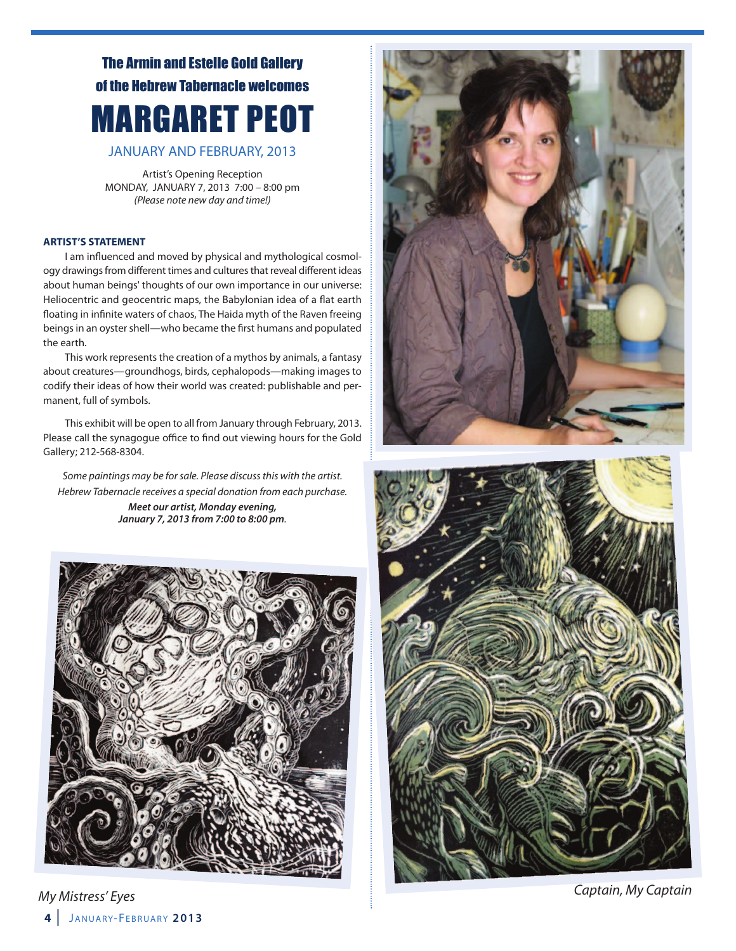# The Armin and Estelle Gold Gallery of the Hebrew Tabernacle welcomes MARGARET PEOT

JANUARY AND FEBRUARY, 2013

Artist's Opening Reception MONDAY, JANUARY 7, 2013 7:00 – 8:00 pm (Please note new day and time!)

### **ARTIST'S STATEMENT**

I am influenced and moved by physical and mythological cosmology drawings from different times and cultures that reveal different ideas about human beings' thoughts of our own importance in our universe: Heliocentric and geocentric maps, the Babylonian idea of a flat earth floating in infinite waters of chaos, The Haida myth of the Raven freeing beings in an oyster shell—who became the first humans and populated the earth.

This work represents the creation of a mythos by animals, a fantasy about creatures—groundhogs, birds, cephalopods—making images to codify their ideas of how their world was created: publishable and permanent, full of symbols.

This exhibit will be open to all from January through February, 2013. Please call the synagogue office to find out viewing hours for the Gold Gallery; 212-568-8304.

Some paintings may be for sale. Please discuss this with the artist. Hebrew Tabernacle receives a special donation from each purchase. *Meet our artist, Monday evening, January 7, 2013 from 7:00 to 8:00 pm*.





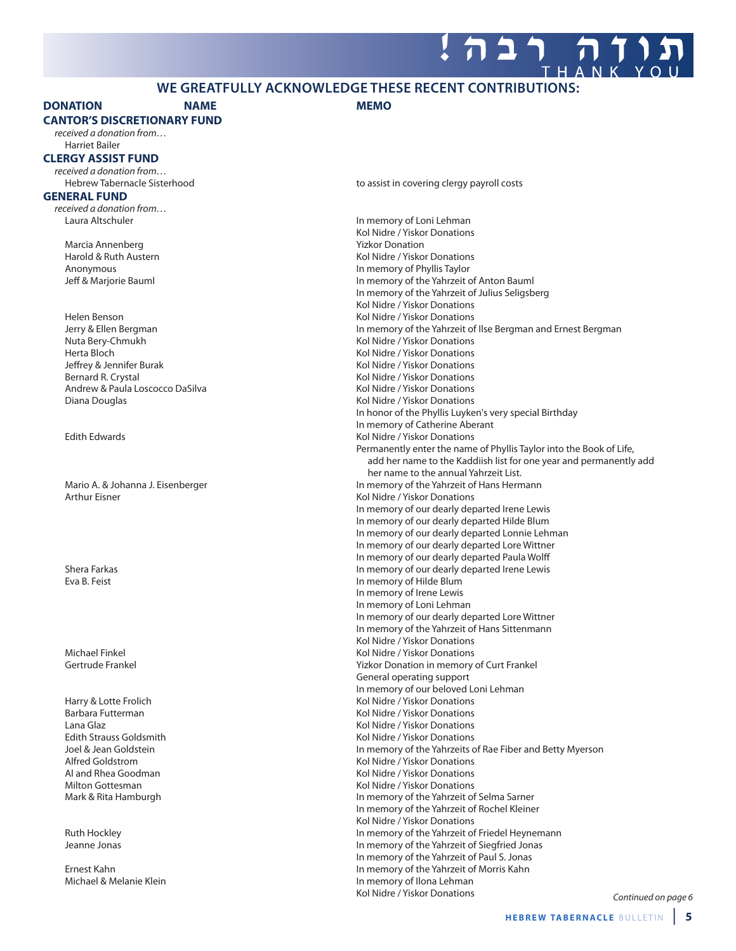### **WE GREATFULLY ACKNOWLEDGE THESE RECENT CONTRIBUTIONS:**

### **DONATION NAME MEMO**

**CANTOR'S DISCRETIONARY FUND**

received a donation from… Harriet Bailer

### **CLERGY ASSIST FUND**

received a donation from…

### **GENERAL FUND**

received a donation from…

Marcia Annenberg National Communistic Communistic Communistic Communistic Communistic Communistic Communistic<br>
Marcid & Ruth Austern National Communistic Communistic Communistic Communistic Communistic Communistic Commun<br>

Helen Benson Kol Nidre / Yiskor Donations Nuta Bery-Chmukh **Kollah Kol Nidre / Yiskor Donations** Kol Nidre / Yiskor Donations Herta Bloch Kol Nidre / Yiskor Donations Bernard R. Crystal North Communications and Review Month Communications of Kol Nidre / Yiskor Donations Andrew & Paula Loscocco DaSilva 
Kol Nidre / Yiskor Donations Diana Douglas Kol Nidre / Yiskor Donations

Arthur Eisner Kolley and The Matter of the Middle of Middle Arthur Eisner Kolley and The Middle of The Middle A

Hebrew Tabernacle Sisterhood to assist in covering clergy payroll costs

Laura Altschuler **In memory of Loni Lehman** Kol Nidre / Yiskor Donations Kol Nidre / Yiskor Donations Anonymous In memory of Phyllis Taylor Jeff & Marjorie Bauml **In memory of the Yahrzeit of Anton Bauml** In memory of the Yahrzeit of Anton Bauml In memory of the Yahrzeit of Julius Seligsberg Kol Nidre / Yiskor Donations Jerry & Ellen Bergman In memory of the Yahrzeit of Ilse Bergman and Ernest Bergman Kol Nidre / Yiskor Donations In honor of the Phyllis Luyken's very special Birthday In memory of Catherine Aberant Edith Edwards **Kollah Edwards** Kol Nidre / Yiskor Donations Permanently enter the name of Phyllis Taylor into the Book of Life, add her name to the Kaddiish list for one year and permanently add her name to the annual Yahrzeit List. Mario A. & Johanna J. Eisenberger **In Mario A. A. A. A. A. Eisenberger** In memory of the Yahrzeit of Hans Hermann In memory of our dearly departed Irene Lewis In memory of our dearly departed Hilde Blum In memory of our dearly departed Lonnie Lehman In memory of our dearly departed Lore Wittner In memory of our dearly departed Paula Wolff Shera Farkas **In memory of our dearly departed Irene Lewis**<br>
In memory of Hilde Blum<br>
In memory of Hilde Blum In memory of Hilde Blum In memory of Irene Lewis In memory of Loni Lehman In memory of our dearly departed Lore Wittner In memory of the Yahrzeit of Hans Sittenmann Kol Nidre / Yiskor Donations Michael Finkel **Kollars According to According the Collars According Michael Finkel According to According the Michael Street According Michael Street According to According the Michael Street According to According the Mi** Gertrude Frankel **The Community Community Community** Yizkor Donation in memory of Curt Frankel General operating support In memory of our beloved Loni Lehman Harry & Lotte Frolich **Kolly According to the Contract of Contract According Contract According Contract According Contract According Kol Nidre / Yiskor Donations** Barbara Futterman Kol Nidre / Yiskor Donations Lana Glaz Kol Nidre / Yiskor Donations Kol Nidre / Yiskor Donations Joel & Jean Goldstein **In memory of the Yahrzeits of Rae Fiber and Betty Myerson**<br>In memory of the Yahrzeits of Rae Fiber and Betty Myerson<br>Kol Nidre / Yiskor Donations Kol Nidre / Yiskor Donations Al and Rhea Goodman National Allen Communications (Kol Nidre / Yiskor Donations Milton Gottesman Nidre / Yiskor Donations Mark & Rita Hamburgh **In memory of the Yahrzeit of Selma Sarner** In memory of the Yahrzeit of Selma Sarner In memory of the Yahrzeit of Rochel Kleiner Kol Nidre / Yiskor Donations Ruth Hockley **In memory of the Yahrzeit of Friedel Heynemann**<br>In memory of the Yahrzeit of Siegfried Jonas In memory of the Yahrzeit of Siegfried Jonas In memory of the Yahrzeit of Paul S. Jonas Ernest Kahn In memory of the Yahrzeit of Morris Kahn Michael & Melanie Klein **In memory of Ilona Lehman** Kol Nidre / Yiskor Donations

Continued on page 6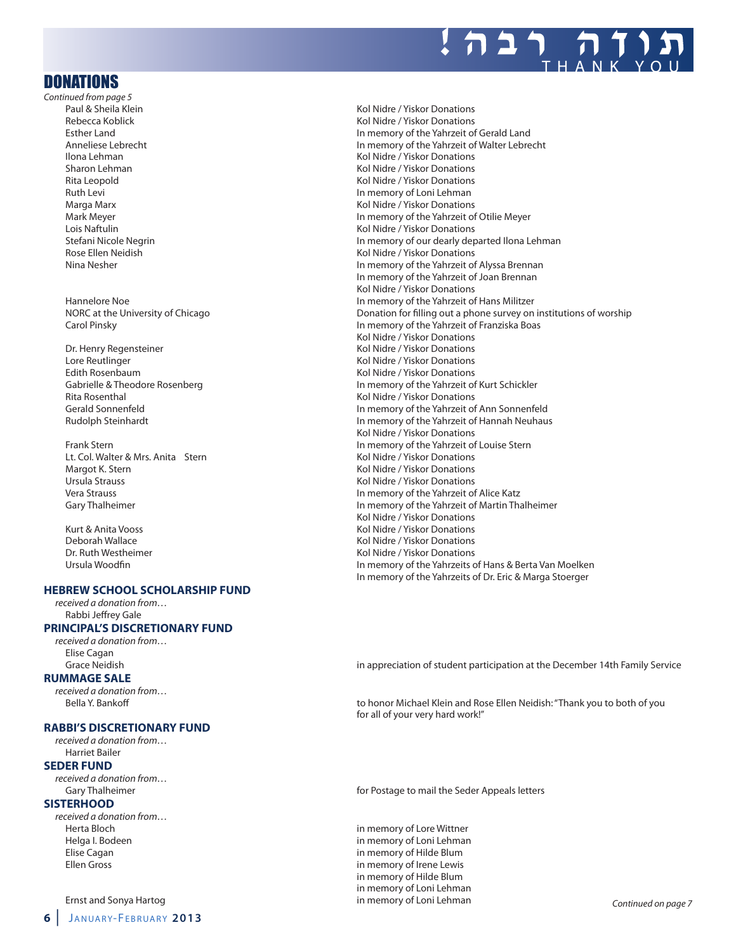

### DONATIONS

Continued from page 5 Paul & Sheila Klein Kol Nidre / Yiskor Donations

- Lore Reutlinger North Communications and Communications of the Middle Communications of Kol Nidre / Yiskor Donations Edith Rosenbaum and Edith Rosenbaum Captus Collections (Sabrielle & Theodore Rosenberg and Theodore Collection<br>
Cabrielle & Theodore Rosenberg and Collection Collections (Sabrielle & Theodore Rosenberg and Theodore Collec Rita Rosenthal **Rita Rosenthal** Communist Communist Communist Communist Communist Communist Communist Communist Communist Communist Communist Communist Communist Communist Communist Communist Communist Communist Communist
- Lt. Col. Walter & Mrs. Anita Stern Margot K. Stern Kol Nidre / Yiskor Donations<br>Margot K. Stern Kol Nidre / Yiskor Donations<br>Kol Nidre / Yiskor Donations

### **HEBREW SCHOOL SCHOLARSHIP FUND**

received a donation from… Rabbi Jeffrey Gale

### **PRINCIPAL'S DISCRETIONARY FUND**

received a donation from… Elise Cagan

### **RUMMAGE SALE**

received a donation from…

### **RABBI'S DISCRETIONARY FUND**

received a donation from… Harriet Bailer

### **SEDER FUND**

received a donation from…

### **SISTERHOOD**

received a donation from… Herta Bloch in memory of Lore Wittner

### Ernst and Sonya Hartog in memory of Loni Lehman Continued on page 7

Kol Nidre / Yiskor Donations Esther Land In memory of the Yahrzeit of Gerald Land Anneliese Lebrecht **In memory of the Yahrzeit of Walter Lebrecht**<br>In memory of the Yahrzeit of Walter Lebrecht<br>Kol Nidre / Yiskor Donations Kol Nidre / Yiskor Donations Sharon Lehman Kol Nidre / Yiskor Donations Rita Leopold Kol Nidre / Yiskor Donations Ruth Levi **In memory of Loni Lehman** Marga Marx **Mary 2008** Marga Marx 2008 Marga Marx 2008 March 2012 March 2012 March 2012 Mark Meyer<br>Mark Meyer 2012 Mark 2012 Mark 2012 Mark 2012 Mark 2012 Mark 2012 Mark 2013 Mark 2012 Mark 2013 Mark 2013 Mark In memory of the Yahrzeit of Otilie Meyer Lois Naftulin Kol Nidre / Yiskor Donations Stefani Nicole Negrin **In memory of our dearly departed Ilona Lehman** Rose Ellen Neidish Kol Nidre / Yiskor Donations Nina Nesher In memory of the Yahrzeit of Alyssa Brennan In memory of the Yahrzeit of Joan Brennan Kol Nidre / Yiskor Donations Hannelore Noe **In memory of the Yahrzeit of Hans Militzer** NORC at the University of Chicago **Donation for filling out a phone survey on institutions of worship** Donation for filling out a phone survey on institutions of worship Carol Pinsky **In memory of the Yahrzeit of Franziska Boas In memory of the Yahrzeit of Franziska Boas** Kol Nidre / Yiskor Donations Dr. Henry Regensteiner Kol Nidre / Yiskor Donations In memory of the Yahrzeit of Kurt Schickler In memory of the Yahrzeit of Ann Sonnenfeld Rudolph Steinhardt In memory of the Yahrzeit of Hannah Neuhaus Kol Nidre / Yiskor Donations Frank Stern **In memory of the Yahrzeit of Louise Stern**<br>In memory of the Yahrzeit of Louise Stern Lt. Col. Walter & Mrs. Anita Stern **In the Vistor College Act Act Act** Kol Nidre / Yiskor Donations Vera Strauss In memory of the Yahrzeit of Alice Katz Gary Thalheimer **In memory of the Yahrzeit of Martin Thalheimer** In memory of the Yahrzeit of Martin Thalheimer Kol Nidre / Yiskor Donations Kurt & Anita Vooss **Kolley Anita Vooss** Kol Nidre / Yiskor Donations Deborah Wallace The Communications of the Material Communications of the Material Communications of the Russia<br>The Ruth Westheimer The Communications of the Material Communications of the Ruth Communications of the Ruth C Dr. Ruth Westheimer Kol Nidre / Yiskor Donations In memory of the Yahrzeits of Hans & Berta Van Moelken In memory of the Yahrzeits of Dr. Eric & Marga Stoerger

Grace Neidish in appreciation of student participation at the December 14th Family Service

Bella Y. Bankoff **Ellen Accord Constructs Accord Accord Constructs** to honor Michael Klein and Rose Ellen Neidish: "Thank you to both of you for all of your very hard work!"

Gary Thalheimer **for Postage to mail the Seder Appeals letters** for Postage to mail the Seder Appeals letters

Helga I. Bodeen in memory of Loni Lehman Elise Cagan in memory of Hilde Blum Ellen Gross in memory of Irene Lewis in memory of Hilde Blum in memory of Loni Lehman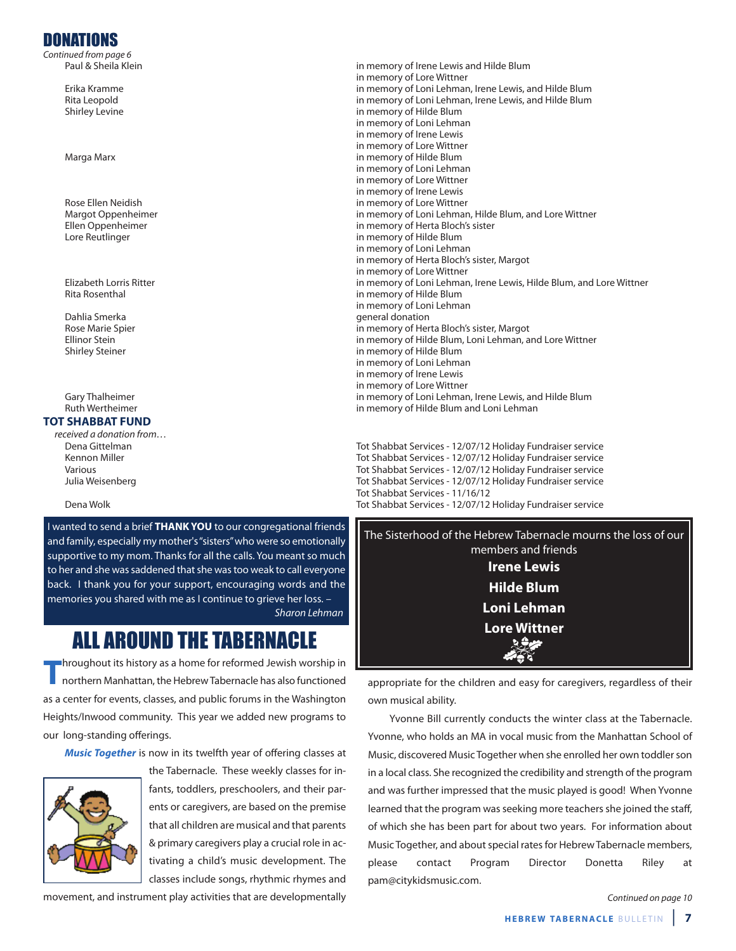## DONATIONS

Continued from page 6<br>Paul & Sheila Klein

### **TOT SHABBAT FUND**

received a donation from…

I wanted to send a brief **THANK YOU** to our congregational friends and family, especially my mother's "sisters" who were so emotionally supportive to my mom. Thanks for all the calls. You meant so much to her and she was saddened that she was too weak to call everyone back. I thank you for your support, encouraging words and the memories you shared with me as I continue to grieve her loss. – Sharon Lehman

**T**hroughout its history as a home for reformed Jewish worship in<br>northern Manhattan, the Hebrew Tabernacle has also functioned as a center for events, classes, and public forums in the Washington Heights/Inwood community. This year we added new programs to our long-standing offerings.

**Music Together** is now in its twelfth year of offering classes at



the Tabernacle. These weekly classes for infants, toddlers, preschoolers, and their parents or caregivers, are based on the premise that all children are musical and that parents & primary caregivers play a crucial role in activating a child's music development. The classes include songs, rhythmic rhymes and

movement, and instrument play activities that are developmentally

in memory of Irene Lewis and Hilde Blum in memory of Lore Wittner Erika Kramme in memory of Loni Lehman, Irene Lewis, and Hilde Blum Rita Leopold in memory of Loni Lehman, Irene Lewis, and Hilde Blum Shirley Levine in memory of Hilde Blum in memory of Loni Lehman in memory of Irene Lewis in memory of Lore Wittner Marga Marx in memory of Hilde Blum in memory of Loni Lehman in memory of Lore Wittner in memory of Irene Lewis Rose Ellen Neidish in memory of Lore Wittner Margot Oppenheimer in memory of Loni Lehman, Hilde Blum, and Lore Wittner Ellen Oppenheimer in memory of Herta Bloch's sister in memory of Hilde Blum in memory of Loni Lehman in memory of Herta Bloch's sister, Margot in memory of Lore Wittner Elizabeth Lorris Ritter in memory of Loni Lehman, Irene Lewis, Hilde Blum, and Lore Wittner Rita Rosenthal in memory of Hilde Blum in memory of Loni Lehman Dahlia Smerka **general donation** Rose Marie Spier **in Maria Bloch's sister, Margot Cherta Bloch's** sister, Margot<br>
Filinor Stein in memory of Hilde Blum. Loni Lehman. a in memory of Hilde Blum, Loni Lehman, and Lore Wittner Shirley Steiner in memory of Hilde Blum in memory of Loni Lehman in memory of Irene Lewis in memory of Lore Wittner Gary Thalheimer in memory of Loni Lehman, Irene Lewis, and Hilde Blum<br>Ruth Wertheimer in memory of Hilde Blum and Loni Lehman in memory of Hilde Blum and Loni Lehman

Dena Gittelman Tot Shabbat Services - 12/07/12 Holiday Fundraiser service Kennon Miller Tot Shabbat Services - 12/07/12 Holiday Fundraiser service Various Tot Shabbat Services - 12/07/12 Holiday Fundraiser service Julia Weisenberg Tot Shabbat Services - 12/07/12 Holiday Fundraiser service Tot Shabbat Services - 11/16/12 Dena Wolk Tot Shabbat Services - 12/07/12 Holiday Fundraiser service

The Sisterhood of the Hebrew Tabernacle mourns the loss of our members and friends **Irene Lewis Hilde Blum Loni Lehman ALL AROUND THE TABERNACLE FOR ALL AROUND THE TABERNACLE Age** -168

> appropriate for the children and easy for caregivers, regardless of their own musical ability.

> Yvonne Bill currently conducts the winter class at the Tabernacle. Yvonne, who holds an MA in vocal music from the Manhattan School of Music, discovered Music Together when she enrolled her own toddler son in a local class. She recognized the credibility and strength of the program and was further impressed that the music played is good! When Yvonne learned that the program was seeking more teachers she joined the staff, of which she has been part for about two years. For information about Music Together, and about special rates for Hebrew Tabernacle members, please contact Program Director Donetta Riley at pam@citykidsmusic.com.

> > Continued on page 10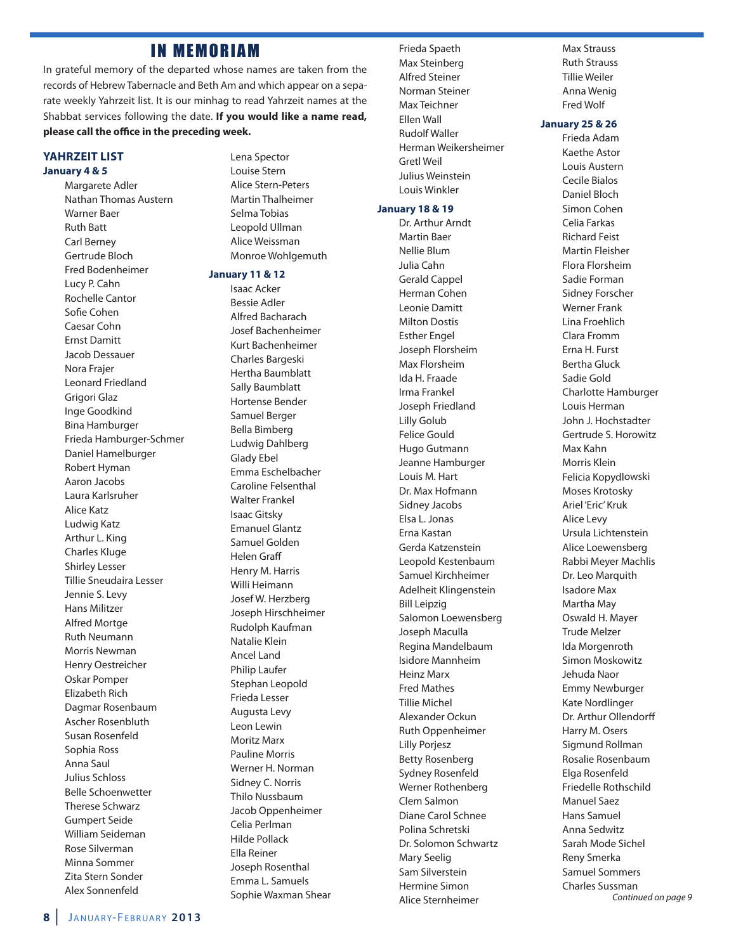### **IN MEMORIAM**

In grateful memory of the departed whose names are taken from the records of Hebrew Tabernacle and Beth Am and which appear on a separate weekly Yahrzeit list. It is our minhag to read Yahrzeit names at the Shabbat services following the date. **If you would like a name read,** please call the office in the preceding week.

### **YAHRZEIT LIST January 4 & 5**

Margarete Adler Nathan Thomas Austern Warner Baer Ruth Batt Carl Berney Gertrude Bloch Fred Bodenheimer Lucy P. Cahn Rochelle Cantor Sofie Cohen Caesar Cohn Ernst Damitt Jacob Dessauer Nora Frajer Leonard Friedland Grigori Glaz Inge Goodkind Bina Hamburger Frieda Hamburger-Schmer Daniel Hamelburger Robert Hyman Aaron Jacobs Laura Karlsruher Alice Katz Ludwig Katz Arthur L. King Charles Kluge Shirley Lesser Tillie Sneudaira Lesser Jennie S. Levy Hans Militzer Alfred Mortge Ruth Neumann Morris Newman Henry Oestreicher Oskar Pomper Elizabeth Rich Dagmar Rosenbaum Ascher Rosenbluth Susan Rosenfeld Sophia Ross Anna Saul Julius Schloss Belle Schoenwetter Therese Schwarz Gumpert Seide William Seideman Rose Silverman Minna Sommer Zita Stern Sonder Alex Sonnenfeld

Lena Spector Louise Stern Alice Stern-Peters Martin Thalheimer Selma Tobias Leopold Ullman Alice Weissman Monroe Wohlgemuth

### **January 11 & 12**

Isaac Acker Bessie Adler Alfred Bacharach Josef Bachenheimer Kurt Bachenheimer Charles Bargeski Hertha Baumblatt Sally Baumblatt Hortense Bender Samuel Berger Bella Bimberg Ludwig Dahlberg Glady Ebel Emma Eschelbacher Caroline Felsenthal Walter Frankel Isaac Gitsky Emanuel Glantz Samuel Golden Helen Graff Henry M. Harris Willi Heimann Josef W. Herzberg Joseph Hirschheimer Rudolph Kaufman Natalie Klein Ancel Land Philip Laufer Stephan Leopold Frieda Lesser Augusta Levy Leon Lewin Moritz Marx Pauline Morris Werner H. Norman Sidney C. Norris Thilo Nussbaum Jacob Oppenheimer Celia Perlman Hilde Pollack Ella Reiner Joseph Rosenthal Emma L. Samuels Sophie Waxman Shear Frieda Spaeth Max Steinberg Alfred Steiner Norman Steiner Max Teichner Ellen Wall Rudolf Waller Herman Weikersheimer Gretl Weil Julius Weinstein Louis Winkler

### **January 18 & 19**

Dr. Arthur Arndt Martin Baer Nellie Blum Julia Cahn Gerald Cappel Herman Cohen Leonie Damitt Milton Dostis Esther Engel Joseph Florsheim Max Florsheim Ida H. Fraade Irma Frankel Joseph Friedland Lilly Golub Felice Gould Hugo Gutmann Jeanne Hamburger Louis M. Hart Dr. Max Hofmann Sidney Jacobs Elsa L. Jonas Erna Kastan Gerda Katzenstein Leopold Kestenbaum Samuel Kirchheimer Adelheit Klingenstein Bill Leipzig Salomon Loewensberg Joseph Maculla Regina Mandelbaum Isidore Mannheim Heinz Marx Fred Mathes Tillie Michel Alexander Ockun Ruth Oppenheimer Lilly Porjesz Betty Rosenberg Sydney Rosenfeld Werner Rothenberg Clem Salmon Diane Carol Schnee Polina Schretski Dr. Solomon Schwartz Mary Seelig Sam Silverstein Hermine Simon Alice Sternheimer

Max Strauss Ruth Strauss Tillie Weiler Anna Wenig Fred Wolf

### **January 25 & 26**

Frieda Adam Kaethe Astor Louis Austern Cecile Bialos Daniel Bloch Simon Cohen Celia Farkas Richard Feist Martin Fleisher Flora Florsheim Sadie Forman Sidney Forscher Werner Frank Lina Froehlich Clara Fromm Erna H. Furst Bertha Gluck Sadie Gold Charlotte Hamburger Louis Herman John J. Hochstadter Gertrude S. Horowitz Max Kahn Morris Klein Felicia Kopydlowski Moses Krotosky Ariel 'Eric' Kruk Alice Levy Ursula Lichtenstein Alice Loewensberg Rabbi Meyer Machlis Dr. Leo Marquith Isadore Max Martha May Oswald H. Mayer Trude Melzer Ida Morgenroth Simon Moskowitz Jehuda Naor Emmy Newburger Kate Nordlinger Dr. Arthur Ollendorff Harry M. Osers Sigmund Rollman Rosalie Rosenbaum Elga Rosenfeld Friedelle Rothschild Manuel Saez Hans Samuel Anna Sedwitz Sarah Mode Sichel Reny Smerka Samuel Sommers Charles Sussman Continued on page 9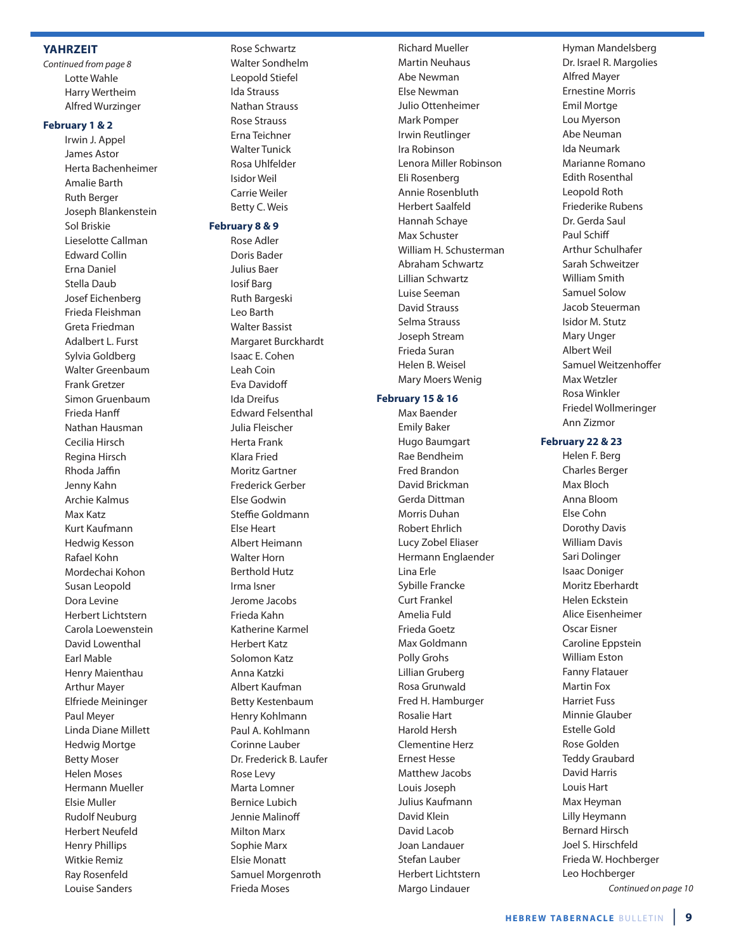### **YAHRZEIT**

Continued from page 8 Lotte Wahle Harry Wertheim Alfred Wurzinger

### **February 1 & 2**

Irwin J. Appel James Astor Herta Bachenheimer Amalie Barth Ruth Berger Joseph Blankenstein Sol Briskie Lieselotte Callman Edward Collin Erna Daniel Stella Daub Josef Eichenberg Frieda Fleishman Greta Friedman Adalbert L. Furst Sylvia Goldberg Walter Greenbaum Frank Gretzer Simon Gruenbaum Frieda Hanff Nathan Hausman Cecilia Hirsch Regina Hirsch Rhoda Jaffin Jenny Kahn Archie Kalmus Max Katz Kurt Kaufmann Hedwig Kesson Rafael Kohn Mordechai Kohon Susan Leopold Dora Levine Herbert Lichtstern Carola Loewenstein David Lowenthal Earl Mable Henry Maienthau Arthur Mayer Elfriede Meininger Paul Meyer Linda Diane Millett Hedwig Mortge Betty Moser Helen Moses Hermann Mueller Elsie Muller Rudolf Neuburg Herbert Neufeld Henry Phillips Witkie Remiz Ray Rosenfeld Louise Sanders

Rose Schwartz Walter Sondhelm Leopold Stiefel Ida Strauss Nathan Strauss Rose Strauss Erna Teichner Walter Tunick Rosa Uhlfelder Isidor Weil Carrie Weiler Betty C. Weis

### **February 8 & 9**

Rose Adler Doris Bader Julius Baer Iosif Barg Ruth Bargeski Leo Barth Walter Bassist Margaret Burckhardt Isaac E. Cohen Leah Coin Eva Davidoff Ida Dreifus Edward Felsenthal Julia Fleischer Herta Frank Klara Fried Moritz Gartner Frederick Gerber Else Godwin Steffie Goldmann Else Heart Albert Heimann Walter Horn Berthold Hutz Irma Isner Jerome Jacobs Frieda Kahn Katherine Karmel Herbert Katz Solomon Katz Anna Katzki Albert Kaufman Betty Kestenbaum Henry Kohlmann Paul A. Kohlmann Corinne Lauber Dr. Frederick B. Laufer Rose Levy Marta Lomner Bernice Lubich Jennie Malinoff Milton Marx Sophie Marx Elsie Monatt Samuel Morgenroth Frieda Moses

Richard Mueller Martin Neuhaus Abe Newman Else Newman Julio Ottenheimer Mark Pomper Irwin Reutlinger Ira Robinson Lenora Miller Robinson Eli Rosenberg Annie Rosenbluth Herbert Saalfeld Hannah Schaye Max Schuster William H. Schusterman Abraham Schwartz Lillian Schwartz Luise Seeman David Strauss Selma Strauss Joseph Stream Frieda Suran Helen B. Weisel Mary Moers Wenig

### **February 15 & 16**

Max Baender Emily Baker Hugo Baumgart Rae Bendheim Fred Brandon David Brickman Gerda Dittman Morris Duhan Robert Ehrlich Lucy Zobel Eliaser Hermann Englaender Lina Erle Sybille Francke Curt Frankel Amelia Fuld Frieda Goetz Max Goldmann Polly Grohs Lillian Gruberg Rosa Grunwald Fred H. Hamburger Rosalie Hart Harold Hersh Clementine Herz Ernest Hesse Matthew Jacobs Louis Joseph Julius Kaufmann David Klein David Lacob Joan Landauer Stefan Lauber Herbert Lichtstern Margo Lindauer

Hyman Mandelsberg Dr. Israel R. Margolies Alfred Mayer Ernestine Morris Emil Mortge Lou Myerson Abe Neuman Ida Neumark Marianne Romano Edith Rosenthal Leopold Roth Friederike Rubens Dr. Gerda Saul Paul Schiff Arthur Schulhafer Sarah Schweitzer William Smith Samuel Solow Jacob Steuerman Isidor M. Stutz Mary Unger Albert Weil Samuel Weitzenhoffer Max Wetzler Rosa Winkler Friedel Wollmeringer Ann Zizmor

### **February 22 & 23**

Helen F. Berg Charles Berger Max Bloch Anna Bloom Else Cohn Dorothy Davis William Davis Sari Dolinger Isaac Doniger Moritz Eberhardt Helen Eckstein Alice Eisenheimer Oscar Eisner Caroline Eppstein William Eston Fanny Flatauer Martin Fox Harriet Fuss Minnie Glauber Estelle Gold Rose Golden Teddy Graubard David Harris Louis Hart Max Heyman Lilly Heymann Bernard Hirsch Joel S. Hirschfeld Frieda W. Hochberger Leo Hochberger Continued on page 10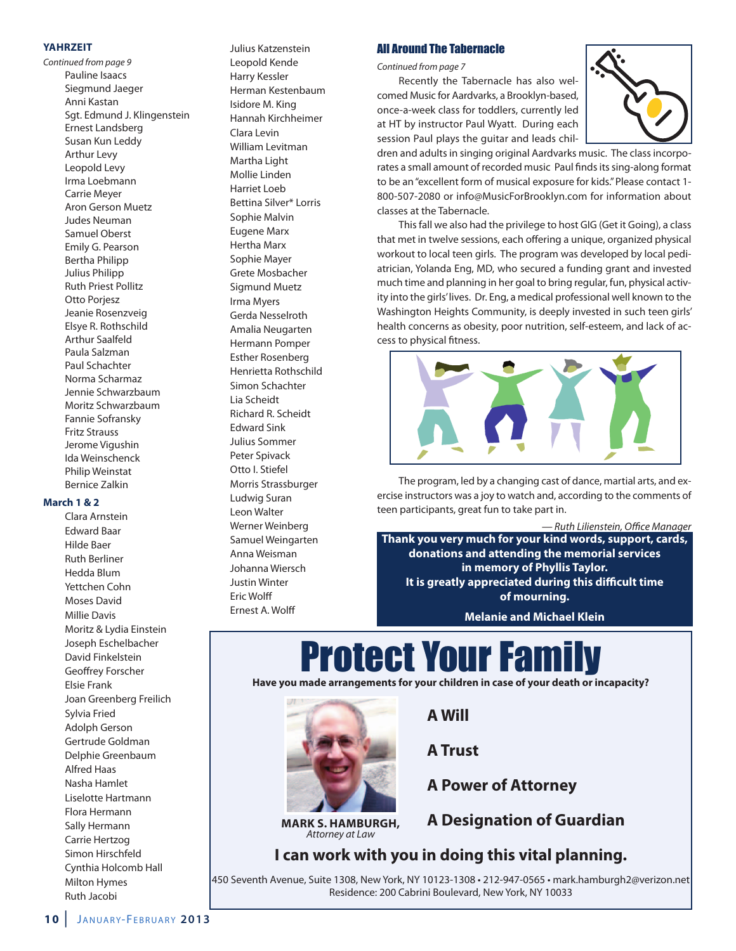### **YAHRZEIT**

Continued from page 9 Pauline Isaacs Siegmund Jaeger Anni Kastan Sgt. Edmund J. Klingenstein Ernest Landsberg Susan Kun Leddy Arthur Levy Leopold Levy Irma Loebmann Carrie Meyer Aron Gerson Muetz Judes Neuman Samuel Oberst Emily G. Pearson Bertha Philipp Julius Philipp Ruth Priest Pollitz Otto Porjesz Jeanie Rosenzveig Elsye R. Rothschild Arthur Saalfeld Paula Salzman Paul Schachter Norma Scharmaz Jennie Schwarzbaum Moritz Schwarzbaum Fannie Sofransky Fritz Strauss Jerome Vigushin Ida Weinschenck Philip Weinstat Bernice Zalkin

### **March 1 & 2**

Clara Arnstein Edward Baar Hilde Baer Ruth Berliner Hedda Blum Yettchen Cohn Moses David Millie Davis Moritz & Lydia Einstein Joseph Eschelbacher David Finkelstein Geoffrey Forscher Elsie Frank Joan Greenberg Freilich Sylvia Fried Adolph Gerson Gertrude Goldman Delphie Greenbaum Alfred Haas Nasha Hamlet Liselotte Hartmann Flora Hermann Sally Hermann Carrie Hertzog Simon Hirschfeld Cynthia Holcomb Hall Milton Hymes Ruth Jacobi

Leopold Kende Harry Kessler Herman Kestenbaum Isidore M. King Hannah Kirchheimer Clara Levin William Levitman Martha Light Mollie Linden Harriet Loeb Bettina Silver\* Lorris Sophie Malvin Eugene Marx Hertha Marx Sophie Mayer Grete Mosbacher Sigmund Muetz Irma Myers Gerda Nesselroth Amalia Neugarten Hermann Pomper Esther Rosenberg Henrietta Rothschild Simon Schachter Lia Scheidt Richard R. Scheidt Edward Sink Julius Sommer Peter Spivack Otto I. Stiefel Morris Strassburger Ludwig Suran Leon Walter Werner Weinberg Samuel Weingarten Anna Weisman Johanna Wiersch Justin Winter **Eric Wolff** Ernest A. Wolff

Julius Katzenstein

### All Around The Tabernacle

Continued from page 7

Recently the Tabernacle has also welcomed Music for Aardvarks, a Brooklyn-based, once-a-week class for toddlers, currently led at HT by instructor Paul Wyatt. During each session Paul plays the guitar and leads chil-



dren and adults in singing original Aardvarks music. The class incorporates a small amount of recorded music Paul finds its sing-along format to be an "excellent form of musical exposure for kids." Please contact 1- 800-507-2080 or info@MusicForBrooklyn.com for information about classes at the Tabernacle.

This fall we also had the privilege to host GIG (Get it Going), a class that met in twelve sessions, each offering a unique, organized physical workout to local teen girls. The program was developed by local pediatrician, Yolanda Eng, MD, who secured a funding grant and invested much time and planning in her goal to bring regular, fun, physical activity into the girls'lives. Dr. Eng, a medical professional well known to the Washington Heights Community, is deeply invested in such teen girls' health concerns as obesity, poor nutrition, self-esteem, and lack of access to physical fitness.



The program, led by a changing cast of dance, martial arts, and exercise instructors was a joy to watch and, according to the comments of teen participants, great fun to take part in.

— Ruth Lilienstein, Office Manager

**Thank you very much for your kind words, support, cards, donations and attending the memorial services in memory of Phyllis Taylor. It is greatly appreciated during this difficult time of mourning.**

**Melanie and Michael Klein**

# Protect Your Fa

**Have you made arrangements for your children in case of your death or incapacity?**

**A Will**

**A Trust**

**A Power of Attorney**

**MARK S. HAMBURGH,** Attorney at Law

**A Designation of Guardian**

### **I can work with you in doing this vital planning.**

450 Seventh Avenue, Suite 1308, New York, NY 10123-1308 • 212-947-0565 • mark.hamburgh2@verizon.net Residence: 200 Cabrini Boulevard, New York, NY 10033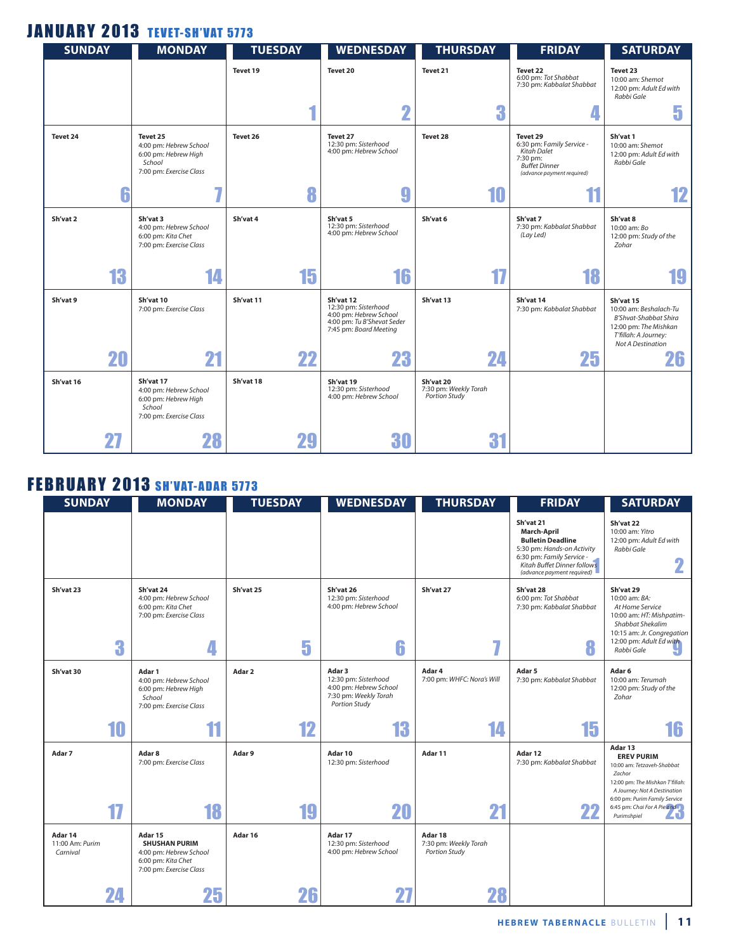## **JANUARY 2013 TEVET-SH'VAT 5773**

| <b>SUNDAY</b> |    | <b>MONDAY</b>                                                                                    | <b>TUESDAY</b> | <b>WEDNESDAY</b>                                                                                                    | <b>THURSDAY</b>                                     | <b>FRIDAY</b>                                                                                                          | <b>SATURDAY</b>                                                                                                                                  |
|---------------|----|--------------------------------------------------------------------------------------------------|----------------|---------------------------------------------------------------------------------------------------------------------|-----------------------------------------------------|------------------------------------------------------------------------------------------------------------------------|--------------------------------------------------------------------------------------------------------------------------------------------------|
|               |    |                                                                                                  | Tevet 19       | Tevet 20                                                                                                            | Tevet 21                                            | Tevet 22<br>6:00 pm: Tot Shabbat<br>7:30 pm: Kabbalat Shabbat                                                          | Tevet 23<br>10:00 am: Shemot<br>12:00 pm: Adult Ed with<br>Rabbi Gale                                                                            |
|               |    |                                                                                                  |                | $\overline{\mathbf{2}}$                                                                                             | 3                                                   |                                                                                                                        | ĸ<br>ы.                                                                                                                                          |
| Tevet 24      |    | Tevet 25<br>4:00 pm: Hebrew School<br>6:00 pm: Hebrew High<br>School<br>7:00 pm: Exercise Class  | Tevet 26       | Tevet 27<br>12:30 pm: Sisterhood<br>4:00 pm: Hebrew School                                                          | Tevet 28                                            | Tevet 29<br>6:30 pm: Family Service -<br>Kitah Dalet<br>7:30 pm:<br><b>Buffet Dinner</b><br>(advance payment required) | Sh'vat 1<br>10:00 am: Shemot<br>12:00 pm: Adult Ed with<br>Rabbi Gale                                                                            |
|               | 6  | ۰,                                                                                               | 8              | g                                                                                                                   | 10                                                  |                                                                                                                        | 12                                                                                                                                               |
| Sh'vat 2      |    | Sh'vat 3<br>4:00 pm: Hebrew School<br>6:00 pm: Kita Chet<br>7:00 pm: Exercise Class              | Sh'vat 4       | Sh'vat 5<br>12:30 pm: Sisterhood<br>4:00 pm: Hebrew School                                                          | Sh'vat 6                                            | Sh'vat 7<br>7:30 pm: Kabbalat Shabbat<br>(Lay Led)                                                                     | Sh'vat 8<br>10:00 am: Bo<br>12:00 pm: Study of the<br>Zohar                                                                                      |
|               | 13 | 14                                                                                               | 15             | 16                                                                                                                  | 17                                                  | 18                                                                                                                     | 19                                                                                                                                               |
| Sh'vat 9      |    | Sh'vat 10<br>7:00 pm: Exercise Class                                                             | Sh'vat 11      | Sh'vat 12<br>12:30 pm: Sisterhood<br>4:00 pm: Hebrew School<br>4:00 pm: Tu B'Shevat Seder<br>7:45 pm: Board Meeting | Sh'vat 13                                           | Sh'vat 14<br>7:30 pm: Kabbalat Shabbat                                                                                 | Sh'vat 15<br>10:00 am: Beshalach-Tu<br><b>B'Shvat-Shabbat Shira</b><br>12:00 pm: The Mishkan<br>T'fillah: A Journey:<br><b>Not A Destination</b> |
|               | 20 | 21                                                                                               | 22             | 23                                                                                                                  | 24                                                  | 25                                                                                                                     | 26                                                                                                                                               |
| Sh'vat 16     |    | Sh'vat 17<br>4:00 pm: Hebrew School<br>6:00 pm: Hebrew High<br>School<br>7:00 pm: Exercise Class | Sh'vat 18      | Sh'vat 19<br>12:30 pm: Sisterhood<br>4:00 pm: Hebrew School                                                         | Sh'vat 20<br>7:30 pm: Weekly Torah<br>Portion Study |                                                                                                                        |                                                                                                                                                  |
|               |    | 28                                                                                               | 29             | 30                                                                                                                  | đ                                                   |                                                                                                                        |                                                                                                                                                  |

## **FEBRUARY 2013 SH'VAT-ADAR 5773**

| <b>SUNDAY</b>                          | <b>MONDAY</b>                                                                                              | <b>TUESDAY</b> | <b>WEDNESDAY</b>                                                                                          | <b>THURSDAY</b>                                   | <b>FRIDAY</b>                                                                                                                                                                              | <b>SATURDAY</b>                                                                                                                                                                                                              |
|----------------------------------------|------------------------------------------------------------------------------------------------------------|----------------|-----------------------------------------------------------------------------------------------------------|---------------------------------------------------|--------------------------------------------------------------------------------------------------------------------------------------------------------------------------------------------|------------------------------------------------------------------------------------------------------------------------------------------------------------------------------------------------------------------------------|
|                                        |                                                                                                            |                |                                                                                                           |                                                   | Sh'vat 21<br><b>March-April</b><br><b>Bulletin Deadline</b><br>5:30 pm: Hands-on Activity<br>6:30 pm: Family Service -<br><b>Kitah Buffet Dinner follows</b><br>(advance payment required) | Sh'vat 22<br>10:00 am: Yitro<br>12:00 pm: Adult Ed with<br>Rabbi Gale<br>2                                                                                                                                                   |
| Sh'vat 23<br>3                         | Sh'vat 24<br>4:00 pm: Hebrew School<br>6:00 pm: Kita Chet<br>7:00 pm: Exercise Class<br>4                  | Sh'vat 25<br>5 | Sh'vat 26<br>12:30 pm: Sisterhood<br>4:00 pm: Hebrew School<br>6                                          | Sh'vat 27<br>7.                                   | Sh'vat 28<br>6:00 pm: Tot Shabbat<br>7:30 pm: Kabbalat Shabbat<br>8                                                                                                                        | Sh'vat 29<br>10:00 am: BA:<br>At Home Service<br>10:00 am: HT: Mishpatim-<br>Shabbat Shekalim<br>10:15 am: Jr. Congregation<br>12:00 pm: Adult Ed with<br>Rabbi Gale                                                         |
| Sh'vat 30                              | Adar 1<br>4:00 pm: Hebrew School<br>6:00 pm: Hebrew High<br>School<br>7:00 pm: Exercise Class              | Adar 2         | Adar 3<br>12:30 pm: Sisterhood<br>4:00 pm: Hebrew School<br>7:30 pm: Weekly Torah<br><b>Portion Study</b> | Adar 4<br>7:00 pm: WHFC: Nora's Will              | Adar 5<br>7:30 pm: Kabbalat Shabbat                                                                                                                                                        | Adar <sub>6</sub><br>10:00 am: Terumah<br>12:00 pm: Study of the<br>Zohar                                                                                                                                                    |
| 10                                     | 11                                                                                                         | 12             | 13                                                                                                        | 14                                                | 15                                                                                                                                                                                         | 16                                                                                                                                                                                                                           |
| Adar 7<br>17                           | Adar 8<br>7:00 pm: Exercise Class<br>18                                                                    | Adar 9<br>19   | Adar 10<br>12:30 pm: Sisterhood<br>20                                                                     | Adar 11<br>21                                     | Adar 12<br>7:30 pm: Kabbalat Shabbat<br>22                                                                                                                                                 | Adar 13<br><b>EREV PURIM</b><br>10:00 am: Tetzaveh-Shabbat<br>Zachor<br>12:00 pm: The Mishkan T'fillah:<br>A Journey: Not A Destination<br>6:00 pm: Purim Family Service<br>6:45 pm: Chai For A Pie and<br>ZJ<br>Purimshpiel |
| Adar 14<br>11:00 Am: Purim<br>Carnival | Adar 15<br><b>SHUSHAN PURIM</b><br>4:00 pm: Hebrew School<br>6:00 pm: Kita Chet<br>7:00 pm: Exercise Class | Adar 16        | Adar 17<br>12:30 pm: Sisterhood<br>4:00 pm: Hebrew School                                                 | Adar 18<br>7:30 pm: Weekly Torah<br>Portion Study |                                                                                                                                                                                            |                                                                                                                                                                                                                              |
| 24                                     | 25                                                                                                         | 26             |                                                                                                           | 28                                                |                                                                                                                                                                                            |                                                                                                                                                                                                                              |